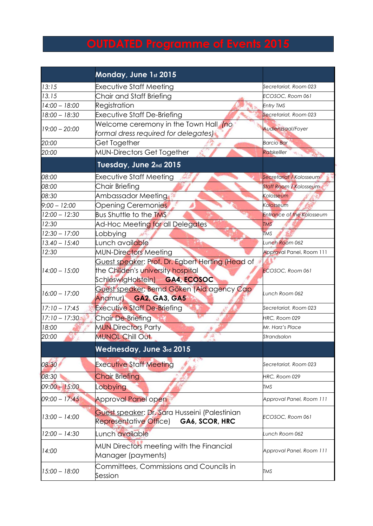## **OUTDATED Programme of Events 2015**

|                 | Monday, June 1st 2015                                                                     |                                  |
|-----------------|-------------------------------------------------------------------------------------------|----------------------------------|
| 13:15           | <b>Executive Staff Meeting</b>                                                            | Secretariat, Room 023            |
| 13.15           | Chair and Staff Briefing                                                                  | ECOSOC, Room 061                 |
| $14:00 - 18:00$ | Registration                                                                              | <b>Entry TMS</b>                 |
| $18:00 - 18:30$ | <b>Executive Staff De-Briefing</b>                                                        | Secretariat, Room 023            |
| $19:00 - 20:00$ | Welcome ceremony in the Town Hall (no<br>formal dress required for delegates)             | Audienzsaal/Foyer                |
| 20:00           | Get Together                                                                              | <b>Barcio Bar</b>                |
| 20:00           | MUN-Directors Get Together                                                                | Ratskelller                      |
|                 | Tuesday, June 2nd 2015                                                                    |                                  |
| 08:00           | Executive Staff Meeting                                                                   | Secretariat / Kolosseum          |
| 08:00           | <b>Chair Briefing</b>                                                                     | <b>Staff Room / Kolosseum</b>    |
| 08:30           | Ambassador Meeting                                                                        | Kolosseum                        |
| $9:00 - 12:00$  | Opening Ceremonies                                                                        | Kolosseum                        |
| $12:00 - 12:30$ | <b>Bus Shuttle to the TMS</b>                                                             | <b>Entrance of the Kolosseum</b> |
| 12:30           | Ad-Hoc Meeting for all Delegates                                                          | <b>TMS</b>                       |
| $12:30 - 17:00$ | Lobbying                                                                                  | <b>TMS</b>                       |
| $13.40 - 15:40$ | Lunch available                                                                           | Lunch Room 062                   |
| 12:30           | <b>MUN-Directors Meeting</b>                                                              | Approval Panel, Room 111         |
|                 | Guest speaker: Prof. Dr. Egbert Herting (Head of                                          |                                  |
| $14:00 - 15:00$ | the Childen's university hospital                                                         | <b>ECOSOC, Room 061</b>          |
|                 | SchleswigHolstein) GA4, ECOSOC                                                            |                                  |
| $16:00 - 17:00$ | Guest speaker: Bernd Göken (Aid agency Cap                                                | Lunch Room 062                   |
|                 | Anamur) GA2, GA3, GA5                                                                     |                                  |
| $17:10 - 17:45$ | <b>Executive Staff De-Briefing</b>                                                        | Secretariat, Room 023            |
| $17:10 - 17:30$ | Chair De-Briefing                                                                         | HRC, Room 029                    |
| 18:00           | <b>MUN Directors Party</b>                                                                | Mr. Harz's Place                 |
| 20:00           | <b>MUNOL Chill Out</b>                                                                    | Strandsalon                      |
|                 | Wednesday, June 3rd 2015                                                                  |                                  |
| 08:30           | <b>Executive Staff Meeting</b>                                                            | Secretariat, Room 023            |
| 08:30           | <b>Chair Briefing</b>                                                                     | HRC, Room 029                    |
| $09:00 - 15:00$ | obbying                                                                                   | <b>TMS</b>                       |
| $09:00 - 17:45$ | <b>Approval Panel open</b>                                                                | Approval Panel, Room 111         |
| $13:00 - 14:00$ | Guest speaker: Dr. Sara Husseini (Palestinian<br>GA6, SCOR, HRC<br>Representative Office) | ECOSOC, Room 061                 |
| $12:00 - 14:30$ | Lunch available                                                                           | Lunch Room 062                   |
| 14:00           | MUN Directors meeting with the Financial<br>Manager (payments)                            | Approval Panel, Room 111         |
| $15:00 - 18:00$ | Committees, Commissions and Councils in<br>Session                                        | <b>TMS</b>                       |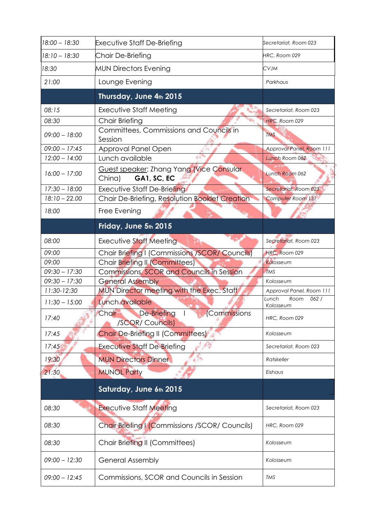| 18:00 - 18:30   | <b>Executive Staff De-Briefing</b>                                    | Secretariat, Room 023              |
|-----------------|-----------------------------------------------------------------------|------------------------------------|
| 18:10 - 18:30   | Chair De-Briefing                                                     | HRC, Room 029                      |
| 18:30           | <b>MUN Directors Evening</b>                                          | CVJM                               |
| 21:00           | Lounge Evening                                                        | Parkhaus                           |
|                 | Thursday, June 4th 2015                                               |                                    |
| 08:15           | Executive Staff Meeting                                               | Secretariat, Room 023              |
| 08:30           | Chair Briefing                                                        | HRC, Room 029                      |
| $09:00 - 18:00$ | Committees, Commissions and Councils in<br>Session                    | <b>TMS</b>                         |
| $09:00 - 17:45$ | Approval Panel Open                                                   | Approval Panel, Room 111           |
| $12:00 - 14:00$ | Lunch available                                                       | Lunch Room 062                     |
| $16:00 - 17:00$ | Guest speaker: Zhang Yang (Vice Consular<br>China)<br>GA1, SC, EC     | Lunch Room 062                     |
| $17:30 - 18:00$ | Executive Staff De-Briefing                                           | Secretariat, Room 023              |
| $18:10 - 22.00$ | Chair De-Briefing, Resolution Booklet Creation                        | Computer Room 131                  |
| 18:00           | Free Evening                                                          |                                    |
|                 | Friday, June 5th 2015                                                 |                                    |
| 08:00           | Executive Staff Meeting                                               | Secretariat, Room 023              |
| 09:00           | Chair Briefing I (Commissions /SCOR/ Councils)                        | HRC, Room 029                      |
| 09:00           | Chair Briefing II (Committees)                                        | Kolosseum                          |
| $09:30 - 17:30$ | <b>Commissions, SCOR and Councils in Session</b>                      | <b>TMS</b>                         |
| $09:30 - 17:30$ | <b>General Assembly</b>                                               | Kolosseum                          |
| 11:30-12:30     | MUN Director meeting with the Exec. Staff                             | Approval Panel, Room 111           |
| $11:30 - 15:00$ | Lunch available                                                       | Lunch<br>Room<br>062/<br>Kolosseum |
| 17:40           | Commissions<br>De-Briefing<br><b>Chair</b><br><b>/SCOR/ Councils)</b> | HRC, Room 029                      |
| 17:45           | <b>Chair De-Briefing II (Committees)</b>                              | Kolosseum                          |
| 17:45           | <b>Executive Staff De-Briefing</b>                                    | Secretariat, Room 023              |
| 19:30           | <b>MUN Directors Dinner</b>                                           | Ratskeller                         |
| 21:30           | <b>MUNOL Party</b>                                                    | Eishaus                            |
|                 | Saturday, June 6th 2015                                               |                                    |
| 08:30           | <b>Executive Staff Meeting</b>                                        | Secretariat, Room 023              |
| 08:30           | Chair Briefing I (Commissions / SCOR/ Councils)                       | HRC, Room 029                      |
| 08:30           | Chair Briefing II (Committees)                                        | Kolosseum                          |
| $09:00 - 12:30$ | <b>General Assembly</b>                                               | Kolosseum                          |
| $09:00 - 12:45$ | Commissions, SCOR and Councils in Session                             | <b>TMS</b>                         |
|                 |                                                                       |                                    |